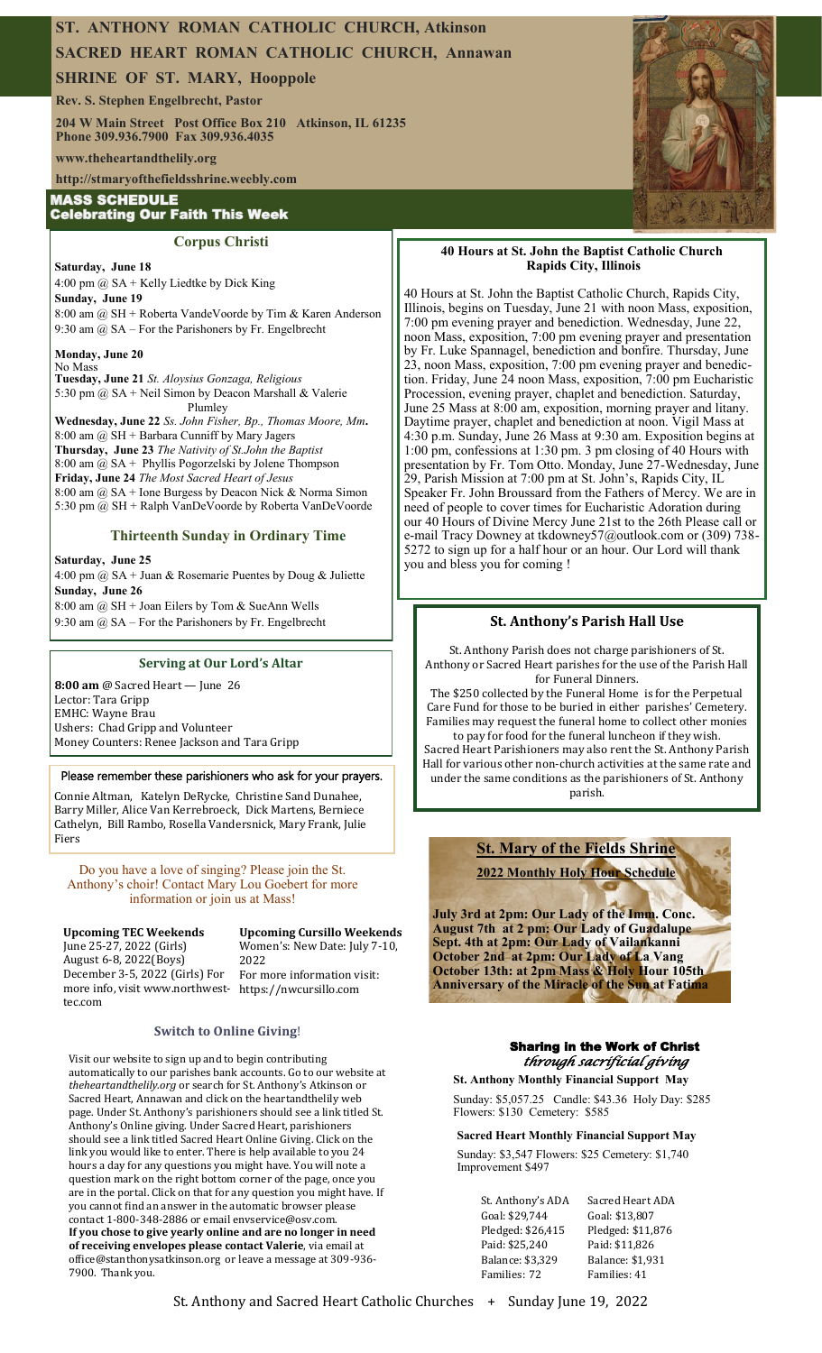# **ST. ANTHONY ROMAN CATHOLIC CHURCH, Atkinson**

**SACRED HEART ROMAN CATHOLIC CHURCH, Annawan**

**SHRINE OF ST. MARY, Hooppole**

**Rev. S. Stephen Engelbrecht, Pastor**

**204 W Main Street Post Office Box 210 Atkinson, IL 61235 Phone 309.936.7900 Fax 309.936.4035**

**www.theheartandthelily.org** 

**http://stmaryofthefieldsshrine.weebly.com**

## **MASS SCHEDULE Celebrating Our Faith This Week**

## **Corpus Christi**

**Saturday, June 18** 4:00 pm @ SA + Kelly Liedtke by Dick King **Sunday, June 19** 8:00 am @ SH + Roberta VandeVoorde by Tim & Karen Anderson 9:30 am @ SA – For the Parishoners by Fr. Engelbrecht

**Monday, June 20** No Mass **Tuesday, June 21** *St. Aloysius Gonzaga, Religious* 5:30 pm @ SA + Neil Simon by Deacon Marshall & Valerie Plumley **Wednesday, June 22** *Ss. John Fisher, Bp., Thomas Moore, Mm***.** 8:00 am @ SH + Barbara Cunniff by Mary Jagers **Thursday, June 23** *The Nativity of St.John the Baptist* 8:00 am @ SA + Phyllis Pogorzelski by Jolene Thompson **Friday, June 24** *The Most Sacred Heart of Jesus*

8:00 am @ SA + Ione Burgess by Deacon Nick & Norma Simon 5:30 pm @ SH + Ralph VanDeVoorde by Roberta VanDeVoorde

### **Thirteenth Sunday in Ordinary Time**

**Saturday, June 25** 4:00 pm @ SA + Juan & Rosemarie Puentes by Doug & Juliette **Sunday, June 26** 8:00 am @ SH + Joan Eilers by Tom & SueAnn Wells 9:30 am @ SA – For the Parishoners by Fr. Engelbrecht

### **Serving at Our Lord's Altar**

**8:00 am** @ Sacred Heart — June 26 Lector: Tara Gripp EMHC: Wayne Brau Ushers: Chad Gripp and Volunteer Money Counters: Renee Jackson and Tara Gripp

### Please remember these parishioners who ask for your prayers.

Connie Altman, Katelyn DeRycke, Christine Sand Dunahee, Barry Miller, Alice Van Kerrebroeck, Dick Martens, Berniece Cathelyn, Bill Rambo, Rosella Vandersnick, Mary Frank, Julie Fiers

Do you have a love of singing? Please join the St. Anthony's choir! Contact Mary Lou Goebert for more information or join us at Mass!

#### **Upcoming TEC Weekends**  June 25-27, 2022 (Girls)

**Upcoming Cursillo Weekends**  Women's: New Date: July 7-10,

August 6-8, 2022(Boys) December 3-5, 2022 (Girls) For more info, visit www.northwest-https://nwcursillo.com tec.com

2022 For more information visit:

### **Switch to Online Giving**!

Visit our website to sign up and to begin contributing automatically to our parishes bank accounts. Go to our website at *theheartandthelily.org* or search for St. Anthony's Atkinson or Sacred Heart, Annawan and click on the heartandthelily web page. Under St. Anthony's parishioners should see a link titled St. Anthony's Online giving. Under Sacred Heart, parishioners should see a link titled Sacred Heart Online Giving. Click on the link you would like to enter. There is help available to you 24 hours a day for any questions you might have. You will note a question mark on the right bottom corner of the page, once you are in the portal. Click on that for any question you might have. If you cannot find an answer in the automatic browser please contact 1-800-348-2886 or email envservice@osv.com. **If you chose to give yearly online and are no longer in need of receiving envelopes please contact Valerie**, via email at office@stanthonysatkinson.org or leave a message at 309-936- 7900. Thank you.



#### **40 Hours at St. John the Baptist Catholic Church Rapids City, Illinois**

40 Hours at St. John the Baptist Catholic Church, Rapids City, Illinois, begins on Tuesday, June 21 with noon Mass, exposition, 7:00 pm evening prayer and benediction. Wednesday, June 22, noon Mass, exposition, 7:00 pm evening prayer and presentation by Fr. Luke Spannagel, benediction and bonfire. Thursday, June 23, noon Mass, exposition, 7:00 pm evening prayer and benediction. Friday, June 24 noon Mass, exposition, 7:00 pm Eucharistic Procession, evening prayer, chaplet and benediction. Saturday, June 25 Mass at 8:00 am, exposition, morning prayer and litany. Daytime prayer, chaplet and benediction at noon. Vigil Mass at 4:30 p.m. Sunday, June 26 Mass at 9:30 am. Exposition begins at 1:00 pm, confessions at 1:30 pm. 3 pm closing of 40 Hours with presentation by Fr. Tom Otto. Monday, June 27-Wednesday, June 29, Parish Mission at 7:00 pm at St. John's, Rapids City, IL Speaker Fr. John Broussard from the Fathers of Mercy. We are in need of people to cover times for Eucharistic Adoration during our 40 Hours of Divine Mercy June 21st to the 26th Please call or e-mail Tracy Downey at tkdowney57@outlook.com or (309) 738- 5272 to sign up for a half hour or an hour. Our Lord will thank you and bless you for coming !

## **St. Anthony's Parish Hall Use**

St. Anthony Parish does not charge parishioners of St. Anthony or Sacred Heart parishes for the use of the Parish Hall for Funeral Dinners.

The \$250 collected by the Funeral Home is for the Perpetual Care Fund for those to be buried in either parishes' Cemetery. Families may request the funeral home to collect other monies

to pay for food for the funeral luncheon if they wish. Sacred Heart Parishioners may also rent the St. Anthony Parish Hall for various other non-church activities at the same rate and under the same conditions as the parishioners of St. Anthony parish.



**2022 Monthly Holy Hour Schedule** 

**July 3rd at 2pm: Our Lady of the Imm. Conc. August 7th at 2 pm: Our Lady of Guadalupe Sept. 4th at 2pm: Our Lady of Vailankanni October 2nd at 2pm: Our Lady of La Vang October 13th: at 2pm Mass & Holy Hour 105th Anniversary of the Miracle of the Sun at Fatima**

### Sharing in the Work of Christ *through sacrificial giving*

**St. Anthony Monthly Financial Support May**

Sunday: \$5,057.25 Candle: \$43.36 Holy Day: \$285 Flowers: \$130 Cemetery: \$585

**Sacred Heart Monthly Financial Support May** Sunday: \$3,547 Flowers: \$25 Cemetery: \$1,740 Improvement \$497

St. Anthony's ADA Sacred Heart ADA Goal: \$29,744 Goal: \$13,807 Pledged: \$26,415 Pledged: \$11,876 Paid: \$25,240 Paid: \$11,826 Balance: \$3,329 Balance: \$1,931 Families: 72 Families: 41

St. Anthony and Sacred Heart Catholic Churches + Sunday June 19, 2022